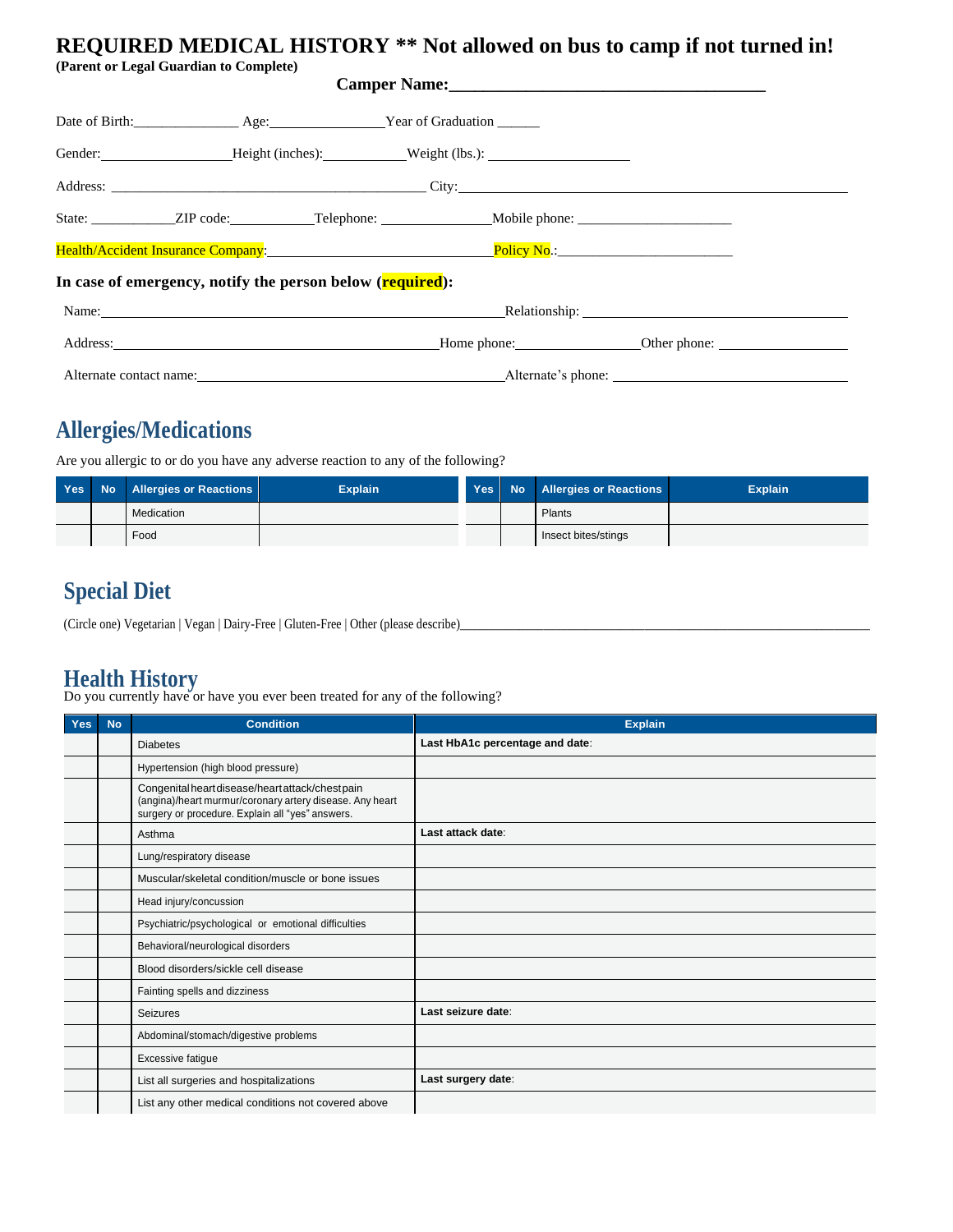### **REQUIRED MEDICAL HISTORY \*\* Not allowed on bus to camp if not turned in!**

**(Parent or Legal Guardian to Complete)** 

|                                                                                                                                                                                                                                | Date of Birth: _________________ Age: __________________ Year of Graduation ______ |  |                                                                                                                                                                                                                                |  |  |
|--------------------------------------------------------------------------------------------------------------------------------------------------------------------------------------------------------------------------------|------------------------------------------------------------------------------------|--|--------------------------------------------------------------------------------------------------------------------------------------------------------------------------------------------------------------------------------|--|--|
|                                                                                                                                                                                                                                |                                                                                    |  |                                                                                                                                                                                                                                |  |  |
|                                                                                                                                                                                                                                |                                                                                    |  |                                                                                                                                                                                                                                |  |  |
|                                                                                                                                                                                                                                |                                                                                    |  |                                                                                                                                                                                                                                |  |  |
| Health/Accident Insurance Company: The Company of the Company of the Company of the Company of the Company of the Company of the Company of the Company of the Company of the Company of the Company of the Company of the Com |                                                                                    |  |                                                                                                                                                                                                                                |  |  |
| In case of emergency, notify the person below (required):                                                                                                                                                                      |                                                                                    |  |                                                                                                                                                                                                                                |  |  |
|                                                                                                                                                                                                                                |                                                                                    |  | Name: Relationship: Relationship:                                                                                                                                                                                              |  |  |
|                                                                                                                                                                                                                                |                                                                                    |  | Address: Charles Charles Money Home Phone: Charles Charles Charles Charles Charles Charles Charles Charles Charles Charles Charles Charles Charles Charles Charles Charles Charles Charles Charles Charles Charles Charles Cha |  |  |
|                                                                                                                                                                                                                                |                                                                                    |  | Alternate contact name: Alternate's phone: Alternate's phone:                                                                                                                                                                  |  |  |

## **Allergies/Medications**

Are you allergic to or do you have any adverse reaction to any of the following?

|  | Yes No Allergies or Reactions | <b>Explain</b> |  | Yes No Allergies or Reactions | <b>Explain</b> |
|--|-------------------------------|----------------|--|-------------------------------|----------------|
|  | Medication                    |                |  | Plants                        |                |
|  | Food                          |                |  | Insect bites/stings           |                |

### **Special Diet**

(Circle one) Vegetarian | Vegan | Dairy-Free | Gluten-Free | Other (please describe)\_\_\_\_\_\_\_\_\_\_\_\_\_\_\_\_\_\_\_\_\_\_\_\_\_\_\_\_\_\_\_\_\_\_\_\_\_\_\_\_\_\_\_\_\_\_\_\_\_\_\_\_\_\_\_\_\_\_\_\_\_\_\_\_\_\_\_\_\_

#### **Health History**

Do you currently have or have you ever been treated for any of the following?

| Yes | <b>No</b> | <b>Condition</b>                                                                                                                                                 | <b>Explain</b>                  |
|-----|-----------|------------------------------------------------------------------------------------------------------------------------------------------------------------------|---------------------------------|
|     |           | <b>Diabetes</b>                                                                                                                                                  | Last HbA1c percentage and date: |
|     |           | Hypertension (high blood pressure)                                                                                                                               |                                 |
|     |           | Congenital heart disease/heart attack/chest pain<br>(angina)/heart murmur/coronary artery disease. Any heart<br>surgery or procedure. Explain all "yes" answers. |                                 |
|     |           | Asthma                                                                                                                                                           | Last attack date:               |
|     |           | Lung/respiratory disease                                                                                                                                         |                                 |
|     |           | Muscular/skeletal condition/muscle or bone issues                                                                                                                |                                 |
|     |           | Head injury/concussion                                                                                                                                           |                                 |
|     |           | Psychiatric/psychological or emotional difficulties                                                                                                              |                                 |
|     |           | Behavioral/neurological disorders                                                                                                                                |                                 |
|     |           | Blood disorders/sickle cell disease                                                                                                                              |                                 |
|     |           | Fainting spells and dizziness                                                                                                                                    |                                 |
|     |           | <b>Seizures</b>                                                                                                                                                  | Last seizure date:              |
|     |           | Abdominal/stomach/digestive problems                                                                                                                             |                                 |
|     |           | Excessive fatigue                                                                                                                                                |                                 |
|     |           | List all surgeries and hospitalizations                                                                                                                          | Last surgery date:              |
|     |           | List any other medical conditions not covered above                                                                                                              |                                 |